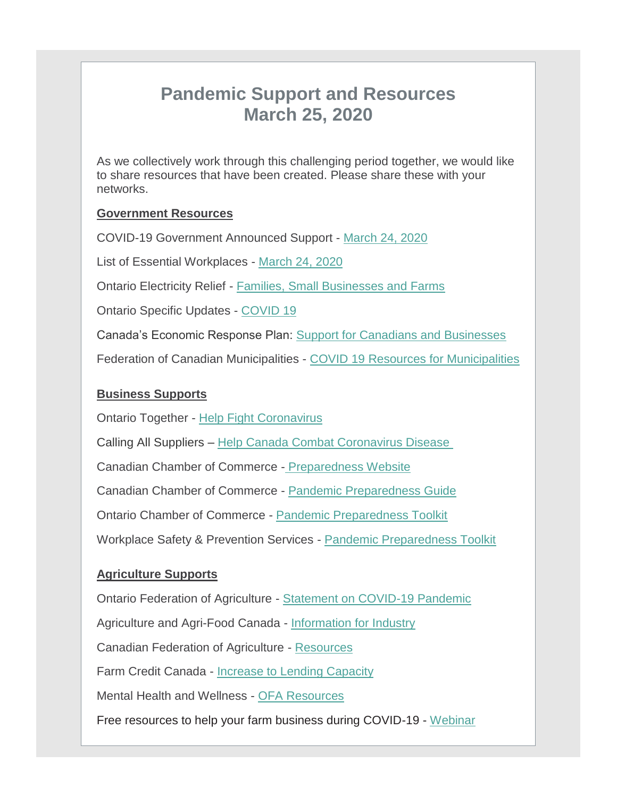# **Pandemic Support and Resources March 25, 2020**

As we collectively work through this challenging period together, we would like to share resources that have been created. Please share these with your networks.

#### **Government Resources**

COVID-19 Government Announced Support - [March 24, 2020](http://r20.rs6.net/tn.jsp?f=001tRde_-toBHEu8sqFOSbeVLSf3LtWyGiD7mcMuU6q4uXakfGyGVdFSD8D9vg0lReqQEDjux7M6Hz84gb_iYALhN3ZYRc32FsBKUceaCbTliQIEVbBMdPl_GoIkFUNMtJavjMaJCfPRUxQ8a14xuBw2-KQrHzslbGye1BCCWUrdYfcE-2_O86FOUhKeQREGEPDRlt1aXtgP0fzhIydLS1GEiU8EmDhF490X4Ea0WYfQ2U=&c=TQ41gS9h-7lO-Ev8CUY2Cc-6raKIpjLaqSWyO1SLWq3zc6ANcZLKsQ==&ch=idFWN5jeiH2eN0eag3ZSpYKk7FBRtHG1XwMnaLWUxqhNHg1eBxUwHQ==)

List of Essential Workplaces - [March 24, 2020](http://r20.rs6.net/tn.jsp?f=001tRde_-toBHEu8sqFOSbeVLSf3LtWyGiD7mcMuU6q4uXakfGyGVdFSD8D9vg0lReqXzkuB1vveixxFXgOdfF9ZrfhItpEeHu5hi2y3m_IMp_yZp9bW5k3Biz_hI__LzTgVpMbL83jL8uFmvXQfQouGyCETl312BeAFJnlZQF2KLosomP0Ygr9C8ihJMK_T8Tr&c=TQ41gS9h-7lO-Ev8CUY2Cc-6raKIpjLaqSWyO1SLWq3zc6ANcZLKsQ==&ch=idFWN5jeiH2eN0eag3ZSpYKk7FBRtHG1XwMnaLWUxqhNHg1eBxUwHQ==)

Ontario Electricity Relief - [Families, Small Businesses and Farms](http://r20.rs6.net/tn.jsp?f=001tRde_-toBHEu8sqFOSbeVLSf3LtWyGiD7mcMuU6q4uXakfGyGVdFSD8D9vg0lReqCnZOgCmbN6o7SOPS5r9lKB09DCxAggKW4Q48uIpYpizSCub7L0suVdZCrKyPOrqXWAYc3rdwsZIiPJ4f7oprnwe2Eo8sNeuzHkpJES2KT2Mkclkjt87Fjt4HS-BdeitC8t5iGewMre8IafSxMNWCsRfDAC-ZWIaL7mEMeeuSIs5nPics_uNOcUGi1qfN3ZFeVqPZlNYQrtC-GRNF244mS3t0bbba3g0goqR8tYqf5MLVp9F-DgZi-5OG1fAJ6wpOp0u3uQbJr1SKgT_pN8Ji5BrTf2TIGmmRDEoYHdjBO9LZ6ZwELw-WfxCXEi-3erfe&c=TQ41gS9h-7lO-Ev8CUY2Cc-6raKIpjLaqSWyO1SLWq3zc6ANcZLKsQ==&ch=idFWN5jeiH2eN0eag3ZSpYKk7FBRtHG1XwMnaLWUxqhNHg1eBxUwHQ==)

Ontario Specific Updates - [COVID 19](http://r20.rs6.net/tn.jsp?f=001tRde_-toBHEu8sqFOSbeVLSf3LtWyGiD7mcMuU6q4uXakfGyGVdFSIP7m-zAhxpUz31QP9Erp1PArGz4vxh_wUphwA8QOm-Xi5q2KVV11621oZ6tBT8qEgbaYtqMt6o4Yk7cSPFdcUJAVT-9QBvEa9LSh5UmPsuEPlogmjT8RitbukDzfBcm1w==&c=TQ41gS9h-7lO-Ev8CUY2Cc-6raKIpjLaqSWyO1SLWq3zc6ANcZLKsQ==&ch=idFWN5jeiH2eN0eag3ZSpYKk7FBRtHG1XwMnaLWUxqhNHg1eBxUwHQ==)

Canada's Economic Response Plan: [Support for Canadians and Businesses](http://r20.rs6.net/tn.jsp?f=001tRde_-toBHEu8sqFOSbeVLSf3LtWyGiD7mcMuU6q4uXakfGyGVdFSD8D9vg0lReqUrQQVSsUI-zIeVjMvGk7Jvn-gEAyl9laCUyU5azmDs6_pzsKGn-N4qJYDHoX6RLnxOUd7GOY6h2U_AJgC6dsJ_l4y0ftlb3RdRuFnPeyTE74EvyIxvO3x5ouYbm_Eai-56P8d6ColgQLw_XMinPGsyr1ao81gCwsDHOMg7gHrs5mM7JwbgpHQ-Hal-CUX-dIkArnfI1FbiIQiwr4tbU0G_GLXD7hV-hP8dFC42Vps1KONSTaiHTOMw==&c=TQ41gS9h-7lO-Ev8CUY2Cc-6raKIpjLaqSWyO1SLWq3zc6ANcZLKsQ==&ch=idFWN5jeiH2eN0eag3ZSpYKk7FBRtHG1XwMnaLWUxqhNHg1eBxUwHQ==)

Federation of Canadian Municipalities - [COVID 19 Resources for Municipalities](http://r20.rs6.net/tn.jsp?f=001tRde_-toBHEu8sqFOSbeVLSf3LtWyGiD7mcMuU6q4uXakfGyGVdFSIP7m-zAhxpUX8ltQvqo_DXLm8X_5H75pfR5fnsLvFis7NJBSHs6rwXkqT6GM9-6oPP4ea7fpbmF5BlGmIKu-K9G_55RPdv8d7AKLIDk8Q2Fi0fRhaHDfamgsWhT2s53CsZ7UNs6KL4EFYU8ZJ1KGnk01xRZyhCQ8HVrnaF8qx8fdt0qZxMyiytir5Et9ZZLEnHekEMF4u6A3k0AEsyaoxQFE8He1DdFoMe3fUNNspCR2or0sy19zqi81Twt6UTNLod_3cSu2B65av2SPsGNmPTBhgQvoDB3PmNkpzEyKNqT_NGOAEA9Nc4yxwvLDWII45iDHdTESmYnH2JA4Gd0STaHzI9wjzrV7s8PE2j0eBY7rFSB6IVSNuw=&c=TQ41gS9h-7lO-Ev8CUY2Cc-6raKIpjLaqSWyO1SLWq3zc6ANcZLKsQ==&ch=idFWN5jeiH2eN0eag3ZSpYKk7FBRtHG1XwMnaLWUxqhNHg1eBxUwHQ==)

## **Business Supports**

Ontario Together - [Help Fight Coronavirus](http://r20.rs6.net/tn.jsp?f=001tRde_-toBHEu8sqFOSbeVLSf3LtWyGiD7mcMuU6q4uXakfGyGVdFSD8D9vg0lReqWcOshIoS0F4J_LJL5dEpdmOzFXwQsPFX7G2uoq5QLDPfTdLfPkSsLlxiIg8b5p7ZZWFnYzwdBx_18fmc2KqVv4-IAJso6zJYx4nJCpm5uZddnNz440FlG-7sKsNdULL7Aw8mnSfRmaSLgSbGev8yRg==&c=TQ41gS9h-7lO-Ev8CUY2Cc-6raKIpjLaqSWyO1SLWq3zc6ANcZLKsQ==&ch=idFWN5jeiH2eN0eag3ZSpYKk7FBRtHG1XwMnaLWUxqhNHg1eBxUwHQ==)

Calling All Suppliers – [Help Canada Combat Coronavirus Disease](http://r20.rs6.net/tn.jsp?f=001tRde_-toBHEu8sqFOSbeVLSf3LtWyGiD7mcMuU6q4uXakfGyGVdFSD8D9vg0lReqIGJr-OG9GzNRPrOQyW18-Es1qHP-jzUYAbbVIweVFuovAyhPZoBWR73ynMjmX3mCmbw5-5hE2SdJxb8Boh-Q86rc434NEfPWxUQ73lSySNMBtxuV6PUdsCHrDEHq2bkZNaQWjLtr6_WCNyqRD6dD2g==&c=TQ41gS9h-7lO-Ev8CUY2Cc-6raKIpjLaqSWyO1SLWq3zc6ANcZLKsQ==&ch=idFWN5jeiH2eN0eag3ZSpYKk7FBRtHG1XwMnaLWUxqhNHg1eBxUwHQ==)

Canadian Chamber of Commerce - [Preparedness Website](http://r20.rs6.net/tn.jsp?f=001tRde_-toBHEu8sqFOSbeVLSf3LtWyGiD7mcMuU6q4uXakfGyGVdFSIP7m-zAhxpUfLJd5utBCW4Zs4oB9w2BfLBMs40R0PMT-pu0ad2UwhDr76tASF59zvns4y-rEpCk726jchd3eSSpAnGK-9-6GhYyN8oOTFy7VoisB8PWKeOtiq7fHQqq6g==&c=TQ41gS9h-7lO-Ev8CUY2Cc-6raKIpjLaqSWyO1SLWq3zc6ANcZLKsQ==&ch=idFWN5jeiH2eN0eag3ZSpYKk7FBRtHG1XwMnaLWUxqhNHg1eBxUwHQ==)

Canadian Chamber of Commerce - [Pandemic Preparedness Guide](http://r20.rs6.net/tn.jsp?f=001tRde_-toBHEu8sqFOSbeVLSf3LtWyGiD7mcMuU6q4uXakfGyGVdFSIP7m-zAhxpU6s2g2eyE_ASDClgvqR95exODFWpS0z0ZeTCxY4xIQeh1Y6pIeftn2SWclsuhEz3u2e_Ppjyt-FOaWin_qX0PTImUr3L5o5FdPjGAtquDfJsrPzvl8VhNfWCT9I_YpcXLAAXfUAuDjq0qTX-YRMSDE8v-mAk0a30Z&c=TQ41gS9h-7lO-Ev8CUY2Cc-6raKIpjLaqSWyO1SLWq3zc6ANcZLKsQ==&ch=idFWN5jeiH2eN0eag3ZSpYKk7FBRtHG1XwMnaLWUxqhNHg1eBxUwHQ==)

Ontario Chamber of Commerce - [Pandemic Preparedness Toolkit](http://r20.rs6.net/tn.jsp?f=001tRde_-toBHEu8sqFOSbeVLSf3LtWyGiD7mcMuU6q4uXakfGyGVdFSIP7m-zAhxpUOHBu3Jvr1LfzSRLrscihIN8Aw8uxRaBydoFgWX7onFSDtuqFimJMbyxPhhs7_nPqnM1b6THBXSlKFhRdLg5XIdhtZ3h7pWIL6SaQlQKHGq0tBEOvtSF6dBm6AQGTuKc0-G7V5-AM1mrvoNwnDzVg2LYQhbTesPL9PUX7NI7_S38=&c=TQ41gS9h-7lO-Ev8CUY2Cc-6raKIpjLaqSWyO1SLWq3zc6ANcZLKsQ==&ch=idFWN5jeiH2eN0eag3ZSpYKk7FBRtHG1XwMnaLWUxqhNHg1eBxUwHQ==)

Workplace Safety & Prevention Services - [Pandemic Preparedness Toolkit](http://r20.rs6.net/tn.jsp?f=001tRde_-toBHEu8sqFOSbeVLSf3LtWyGiD7mcMuU6q4uXakfGyGVdFSIP7m-zAhxpUNSt6jgeYzoriIzXk2G_X8zPR9jEMQ-A1wX4xTaj_8StPzAgDGHl33ng839wVcowAyPOkyZJZ3yyQW5cj1C7O2pbNSJiBnXPoF10xyF1wmZm7aC9ovFfdSs_Op0cXSABTunmXSAQ35P0PSUkc5Z0Sf9u0Vp_jXU60CjJYhQe338zZC3uFh_1biQ9AImMEV8esc9m3CTjUfaY=&c=TQ41gS9h-7lO-Ev8CUY2Cc-6raKIpjLaqSWyO1SLWq3zc6ANcZLKsQ==&ch=idFWN5jeiH2eN0eag3ZSpYKk7FBRtHG1XwMnaLWUxqhNHg1eBxUwHQ==)

## **Agriculture Supports**

Ontario Federation of Agriculture - [Statement on COVID-19 Pandemic](http://r20.rs6.net/tn.jsp?f=001tRde_-toBHEu8sqFOSbeVLSf3LtWyGiD7mcMuU6q4uXakfGyGVdFSD8D9vg0lReqfTxH6BNrlnMMd12qiJVkvHTx5PgwPY1imG0gpcVZRZKRSBCLPQ0hO8-iLfUsu7MHSQvw9_PAO0pwDrolzPZMKXnWA5ai2lSsyoLHUEm5OjE_8bBcLGnquNXBDyZa7BZU&c=TQ41gS9h-7lO-Ev8CUY2Cc-6raKIpjLaqSWyO1SLWq3zc6ANcZLKsQ==&ch=idFWN5jeiH2eN0eag3ZSpYKk7FBRtHG1XwMnaLWUxqhNHg1eBxUwHQ==)

Agriculture and Agri-Food Canada - [Information for Industry](http://r20.rs6.net/tn.jsp?f=001tRde_-toBHEu8sqFOSbeVLSf3LtWyGiD7mcMuU6q4uXakfGyGVdFSD8D9vg0lReqCMmRXvoC2EFDwV59c1XAOe3QNs8Wx_egUblhG-jXU5euP-SfHBsm8BARTK4Sk8w0UkJ0OmwnR7IeCuQcWmr7bU_o05SgXU96KoZhBZEUcktmFH40UHiVr8OKoZzfzF6Xddr9wqnz7jA2rU01kXDW_Mk6aG-EQ3UVCGlH4t-WKewqJrz_sFEguIGNaA0VJSgI&c=TQ41gS9h-7lO-Ev8CUY2Cc-6raKIpjLaqSWyO1SLWq3zc6ANcZLKsQ==&ch=idFWN5jeiH2eN0eag3ZSpYKk7FBRtHG1XwMnaLWUxqhNHg1eBxUwHQ==)

Canadian Federation of Agriculture - [Resources](http://r20.rs6.net/tn.jsp?f=001tRde_-toBHEu8sqFOSbeVLSf3LtWyGiD7mcMuU6q4uXakfGyGVdFSD8D9vg0lReqV0ZxFhQWyabIstgbjsPGRLTh96mUsgg6YecD-47Ty8blYLTzgKYj8n6vVTzOyoKkijy2fdefv3JiqhPAXJ1uYjQP4V0kepgT5nxHz-VUx30pgjjPXR-w4Us450iU4YfJ&c=TQ41gS9h-7lO-Ev8CUY2Cc-6raKIpjLaqSWyO1SLWq3zc6ANcZLKsQ==&ch=idFWN5jeiH2eN0eag3ZSpYKk7FBRtHG1XwMnaLWUxqhNHg1eBxUwHQ==)

Farm Credit Canada - [Increase to Lending Capacity](http://r20.rs6.net/tn.jsp?f=001tRde_-toBHEu8sqFOSbeVLSf3LtWyGiD7mcMuU6q4uXakfGyGVdFSD8D9vg0lReqinK53gJd6TFrWgUaqfTIC0p-Frjsfgcif1zd2U5aXoEp3zGPAQF3_HhpIll3Shja66MWWQio99itleihGByjc_eFvgoT3LLAGBSfWaCDigI=&c=TQ41gS9h-7lO-Ev8CUY2Cc-6raKIpjLaqSWyO1SLWq3zc6ANcZLKsQ==&ch=idFWN5jeiH2eN0eag3ZSpYKk7FBRtHG1XwMnaLWUxqhNHg1eBxUwHQ==)

Mental Health and Wellness - [OFA Resources](http://r20.rs6.net/tn.jsp?f=001tRde_-toBHEu8sqFOSbeVLSf3LtWyGiD7mcMuU6q4uXakfGyGVdFSD8D9vg0lReqCVLHa7qDk7E1EJyP2pFVGpRXBjqMJohs6i3rABcQHyHzn38NH5TnCirUPKP4azPHFLHcdVX5ztrXx-YfzbsBynP0YgduiFLvBgp5owD39N8=&c=TQ41gS9h-7lO-Ev8CUY2Cc-6raKIpjLaqSWyO1SLWq3zc6ANcZLKsQ==&ch=idFWN5jeiH2eN0eag3ZSpYKk7FBRtHG1XwMnaLWUxqhNHg1eBxUwHQ==)

Free resources to help your farm business during COVID-19 - [Webinar](http://r20.rs6.net/tn.jsp?f=001tRde_-toBHEu8sqFOSbeVLSf3LtWyGiD7mcMuU6q4uXakfGyGVdFSD8D9vg0lReqZvoUPifZBbrJjAMpn61MOakqpMSJs0fsBJMb720QlTsOfOtSQYvZE7YSPQ4tWSvZk6Aaw7HSJZNmsLDq6lTJHQ42WGr2AhbEqjJvnSWtlAwjl6gOOvwJ6yIiKyn7BA7T0OPbxieaVepFYL6_2y3RELz8GSt0535lfT9X_LZeHZM=&c=TQ41gS9h-7lO-Ev8CUY2Cc-6raKIpjLaqSWyO1SLWq3zc6ANcZLKsQ==&ch=idFWN5jeiH2eN0eag3ZSpYKk7FBRtHG1XwMnaLWUxqhNHg1eBxUwHQ==)